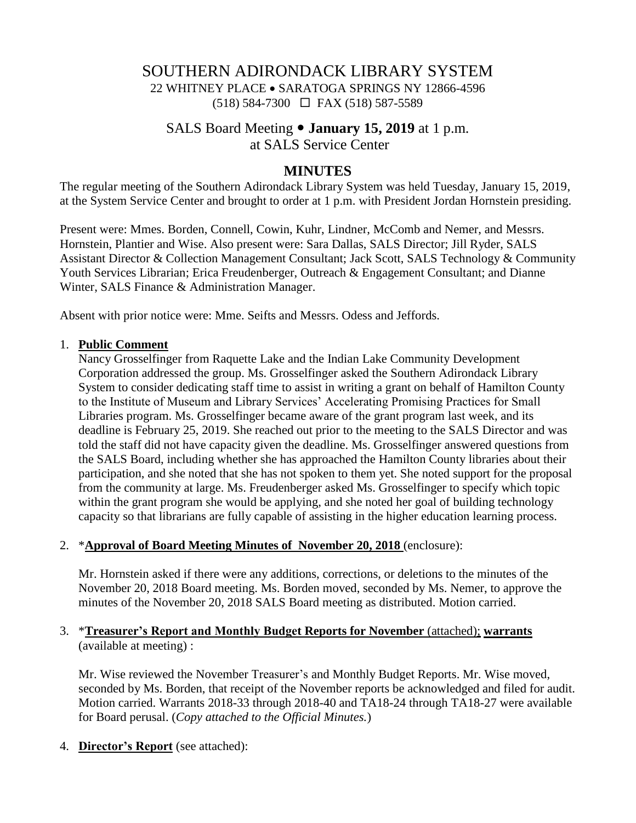# SOUTHERN ADIRONDACK LIBRARY SYSTEM 22 WHITNEY PLACE • SARATOGA SPRINGS NY 12866-4596 (518) 584-7300 FAX (518) 587-5589

### SALS Board Meeting **January 15, 2019** at 1 p.m. at SALS Service Center

### **MINUTES**

The regular meeting of the Southern Adirondack Library System was held Tuesday, January 15, 2019, at the System Service Center and brought to order at 1 p.m. with President Jordan Hornstein presiding.

Present were: Mmes. Borden, Connell, Cowin, Kuhr, Lindner, McComb and Nemer, and Messrs. Hornstein, Plantier and Wise. Also present were: Sara Dallas, SALS Director; Jill Ryder, SALS Assistant Director & Collection Management Consultant; Jack Scott, SALS Technology & Community Youth Services Librarian; Erica Freudenberger, Outreach & Engagement Consultant; and Dianne Winter, SALS Finance & Administration Manager.

Absent with prior notice were: Mme. Seifts and Messrs. Odess and Jeffords.

#### 1. **Public Comment**

Nancy Grosselfinger from Raquette Lake and the Indian Lake Community Development Corporation addressed the group. Ms. Grosselfinger asked the Southern Adirondack Library System to consider dedicating staff time to assist in writing a grant on behalf of Hamilton County to the Institute of Museum and Library Services' Accelerating Promising Practices for Small Libraries program. Ms. Grosselfinger became aware of the grant program last week, and its deadline is February 25, 2019. She reached out prior to the meeting to the SALS Director and was told the staff did not have capacity given the deadline. Ms. Grosselfinger answered questions from the SALS Board, including whether she has approached the Hamilton County libraries about their participation, and she noted that she has not spoken to them yet. She noted support for the proposal from the community at large. Ms. Freudenberger asked Ms. Grosselfinger to specify which topic within the grant program she would be applying, and she noted her goal of building technology capacity so that librarians are fully capable of assisting in the higher education learning process.

#### 2. \***Approval of Board Meeting Minutes of November 20, 2018** (enclosure):

Mr. Hornstein asked if there were any additions, corrections, or deletions to the minutes of the November 20, 2018 Board meeting. Ms. Borden moved, seconded by Ms. Nemer, to approve the minutes of the November 20, 2018 SALS Board meeting as distributed. Motion carried.

#### 3. \***Treasurer's Report and Monthly Budget Reports for November** (attached); **warrants** (available at meeting) :

Mr. Wise reviewed the November Treasurer's and Monthly Budget Reports. Mr. Wise moved, seconded by Ms. Borden, that receipt of the November reports be acknowledged and filed for audit. Motion carried. Warrants 2018-33 through 2018-40 and TA18-24 through TA18-27 were available for Board perusal. (*Copy attached to the Official Minutes.*)

4. **Director's Report** (see attached):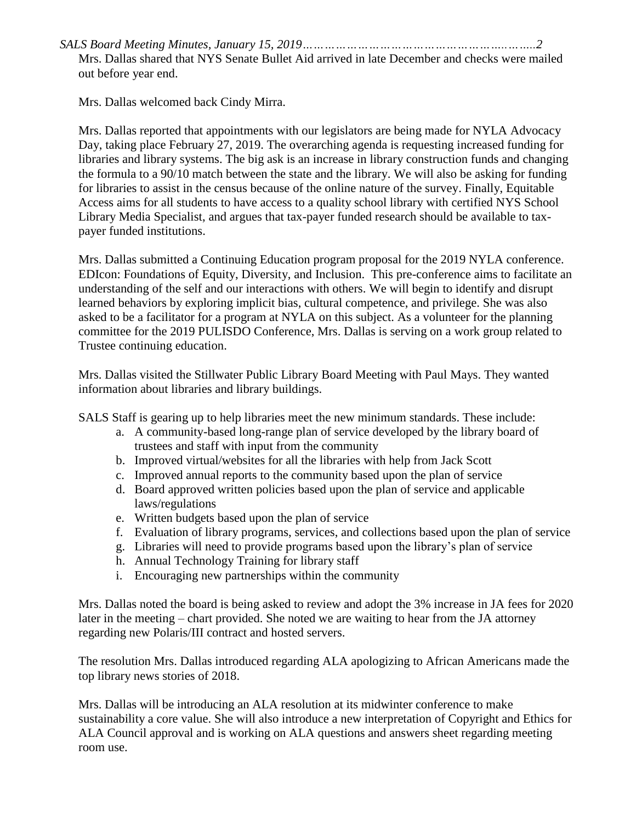*SALS Board Meeting Minutes, January 15, 2019………………………………………………..……..2*

Mrs. Dallas shared that NYS Senate Bullet Aid arrived in late December and checks were mailed out before year end.

Mrs. Dallas welcomed back Cindy Mirra.

Mrs. Dallas reported that appointments with our legislators are being made for NYLA Advocacy Day, taking place February 27, 2019. The overarching agenda is requesting increased funding for libraries and library systems. The big ask is an increase in library construction funds and changing the formula to a 90/10 match between the state and the library. We will also be asking for funding for libraries to assist in the census because of the online nature of the survey. Finally, Equitable Access aims for all students to have access to a quality school library with certified NYS School Library Media Specialist, and argues that tax-payer funded research should be available to taxpayer funded institutions.

Mrs. Dallas submitted a Continuing Education program proposal for the 2019 NYLA conference. EDIcon: Foundations of Equity, Diversity, and Inclusion. This pre-conference aims to facilitate an understanding of the self and our interactions with others. We will begin to identify and disrupt learned behaviors by exploring implicit bias, cultural competence, and privilege. She was also asked to be a facilitator for a program at NYLA on this subject. As a volunteer for the planning committee for the 2019 PULISDO Conference, Mrs. Dallas is serving on a work group related to Trustee continuing education.

Mrs. Dallas visited the Stillwater Public Library Board Meeting with Paul Mays. They wanted information about libraries and library buildings.

SALS Staff is gearing up to help libraries meet the new minimum standards. These include:

- a. A community-based long-range plan of service developed by the library board of trustees and staff with input from the community
- b. Improved virtual/websites for all the libraries with help from Jack Scott
- c. Improved annual reports to the community based upon the plan of service
- d. Board approved written policies based upon the plan of service and applicable laws/regulations
- e. Written budgets based upon the plan of service
- f. Evaluation of library programs, services, and collections based upon the plan of service
- g. Libraries will need to provide programs based upon the library's plan of service
- h. Annual Technology Training for library staff
- i. Encouraging new partnerships within the community

Mrs. Dallas noted the board is being asked to review and adopt the 3% increase in JA fees for 2020 later in the meeting – chart provided. She noted we are waiting to hear from the JA attorney regarding new Polaris/III contract and hosted servers.

The resolution Mrs. Dallas introduced regarding ALA apologizing to African Americans made the top library news stories of 2018.

Mrs. Dallas will be introducing an ALA resolution at its midwinter conference to make sustainability a core value. She will also introduce a new interpretation of Copyright and Ethics for ALA Council approval and is working on ALA questions and answers sheet regarding meeting room use.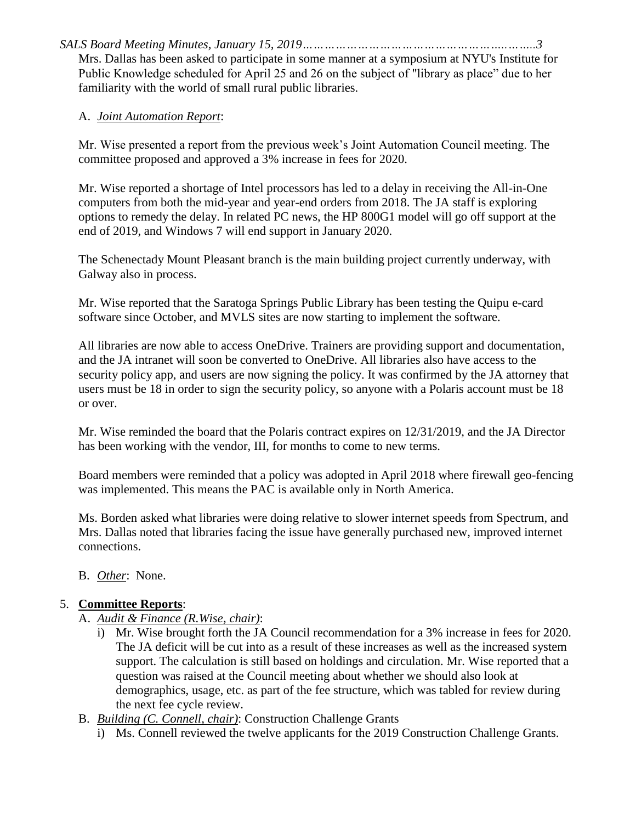*SALS Board Meeting Minutes, January 15, 2019………………………………………………..……..3*

Mrs. Dallas has been asked to participate in some manner at a symposium at NYU's Institute for Public Knowledge scheduled for April 25 and 26 on the subject of "library as place" due to her familiarity with the world of small rural public libraries.

#### A. *Joint Automation Report*:

Mr. Wise presented a report from the previous week's Joint Automation Council meeting. The committee proposed and approved a 3% increase in fees for 2020.

Mr. Wise reported a shortage of Intel processors has led to a delay in receiving the All-in-One computers from both the mid-year and year-end orders from 2018. The JA staff is exploring options to remedy the delay. In related PC news, the HP 800G1 model will go off support at the end of 2019, and Windows 7 will end support in January 2020.

The Schenectady Mount Pleasant branch is the main building project currently underway, with Galway also in process.

Mr. Wise reported that the Saratoga Springs Public Library has been testing the Quipu e-card software since October, and MVLS sites are now starting to implement the software.

All libraries are now able to access OneDrive. Trainers are providing support and documentation, and the JA intranet will soon be converted to OneDrive. All libraries also have access to the security policy app, and users are now signing the policy. It was confirmed by the JA attorney that users must be 18 in order to sign the security policy, so anyone with a Polaris account must be 18 or over.

Mr. Wise reminded the board that the Polaris contract expires on 12/31/2019, and the JA Director has been working with the vendor, III, for months to come to new terms.

Board members were reminded that a policy was adopted in April 2018 where firewall geo-fencing was implemented. This means the PAC is available only in North America.

Ms. Borden asked what libraries were doing relative to slower internet speeds from Spectrum, and Mrs. Dallas noted that libraries facing the issue have generally purchased new, improved internet connections.

B. *Other*: None.

## 5. **Committee Reports**:

- A. *Audit & Finance (R.Wise, chair)*:
	- i) Mr. Wise brought forth the JA Council recommendation for a 3% increase in fees for 2020. The JA deficit will be cut into as a result of these increases as well as the increased system support. The calculation is still based on holdings and circulation. Mr. Wise reported that a question was raised at the Council meeting about whether we should also look at demographics, usage, etc. as part of the fee structure, which was tabled for review during the next fee cycle review.
- B. *Building (C. Connell, chair)*: Construction Challenge Grants
	- i) Ms. Connell reviewed the twelve applicants for the 2019 Construction Challenge Grants.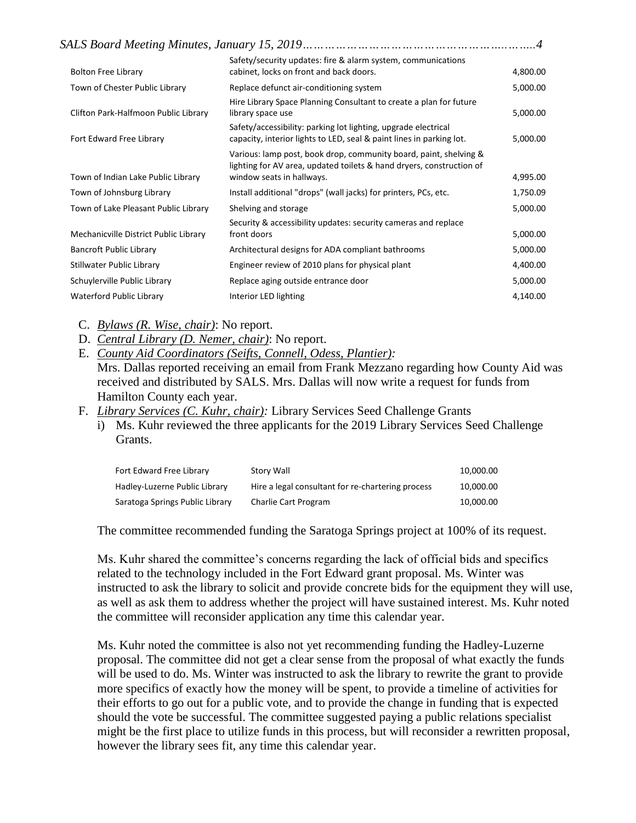| <b>Bolton Free Library</b>            | Safety/security updates: fire & alarm system, communications<br>cabinet, locks on front and back doors.                                                                | 4,800.00 |
|---------------------------------------|------------------------------------------------------------------------------------------------------------------------------------------------------------------------|----------|
| Town of Chester Public Library        | Replace defunct air-conditioning system                                                                                                                                | 5,000.00 |
| Clifton Park-Halfmoon Public Library  | Hire Library Space Planning Consultant to create a plan for future<br>library space use                                                                                | 5,000.00 |
| Fort Edward Free Library              | Safety/accessibility: parking lot lighting, upgrade electrical<br>capacity, interior lights to LED, seal & paint lines in parking lot.                                 | 5,000.00 |
| Town of Indian Lake Public Library    | Various: lamp post, book drop, community board, paint, shelving &<br>lighting for AV area, updated toilets & hand dryers, construction of<br>window seats in hallways. | 4,995.00 |
| Town of Johnsburg Library             | Install additional "drops" (wall jacks) for printers, PCs, etc.                                                                                                        | 1,750.09 |
| Town of Lake Pleasant Public Library  | Shelving and storage                                                                                                                                                   | 5,000.00 |
| Mechanicville District Public Library | Security & accessibility updates: security cameras and replace<br>front doors                                                                                          | 5,000.00 |
| <b>Bancroft Public Library</b>        | Architectural designs for ADA compliant bathrooms                                                                                                                      | 5,000.00 |
| Stillwater Public Library             | Engineer review of 2010 plans for physical plant                                                                                                                       | 4,400.00 |
| Schuylerville Public Library          | Replace aging outside entrance door                                                                                                                                    | 5,000.00 |
| <b>Waterford Public Library</b>       | Interior LED lighting                                                                                                                                                  | 4,140.00 |

C. *Bylaws (R. Wise, chair)*: No report.

- D. *Central Library (D. Nemer, chair)*: No report.
- E. *County Aid Coordinators (Seifts, Connell, Odess, Plantier):* Mrs. Dallas reported receiving an email from Frank Mezzano regarding how County Aid was received and distributed by SALS. Mrs. Dallas will now write a request for funds from Hamilton County each year.
- F. *Library Services (C. Kuhr, chair):* Library Services Seed Challenge Grants
	- i) Ms. Kuhr reviewed the three applicants for the 2019 Library Services Seed Challenge Grants.

| Fort Edward Free Library        | Story Wall                                        | 10,000.00 |
|---------------------------------|---------------------------------------------------|-----------|
| Hadley-Luzerne Public Library   | Hire a legal consultant for re-chartering process | 10,000.00 |
| Saratoga Springs Public Library | Charlie Cart Program                              | 10.000.00 |

The committee recommended funding the Saratoga Springs project at 100% of its request.

Ms. Kuhr shared the committee's concerns regarding the lack of official bids and specifics related to the technology included in the Fort Edward grant proposal. Ms. Winter was instructed to ask the library to solicit and provide concrete bids for the equipment they will use, as well as ask them to address whether the project will have sustained interest. Ms. Kuhr noted the committee will reconsider application any time this calendar year.

Ms. Kuhr noted the committee is also not yet recommending funding the Hadley-Luzerne proposal. The committee did not get a clear sense from the proposal of what exactly the funds will be used to do. Ms. Winter was instructed to ask the library to rewrite the grant to provide more specifics of exactly how the money will be spent, to provide a timeline of activities for their efforts to go out for a public vote, and to provide the change in funding that is expected should the vote be successful. The committee suggested paying a public relations specialist might be the first place to utilize funds in this process, but will reconsider a rewritten proposal, however the library sees fit, any time this calendar year.